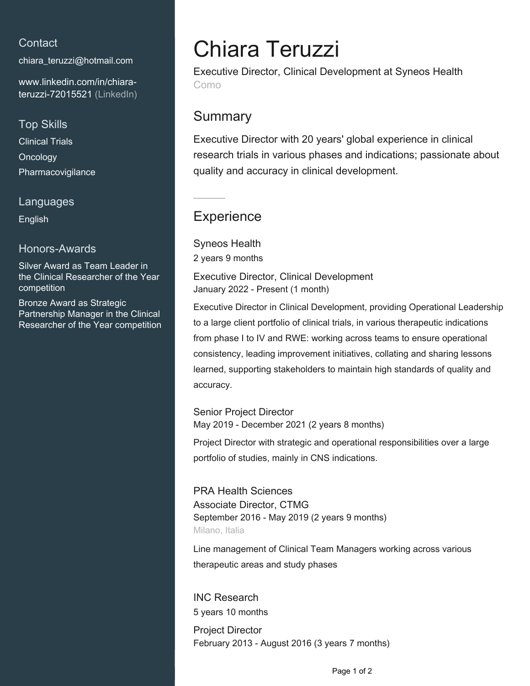### **Contact**

[chiara\\_teruzzi@hotmail.com](mailto:chiara_teruzzi@hotmail.com)

[www.linkedin.com/in/chiara](https://www.linkedin.com/in/chiara-teruzzi-72015521?jobid=1234&lipi=urn%3Ali%3Apage%3Ad_jobs_easyapply_pdfgenresume%3BCbMr%2FnheQfWtZUEsxHjXKg%3D%3D&licu=urn%3Ali%3Acontrol%3Ad_jobs_easyapply_pdfgenresume-v02_profile)[teruzzi-72015521 \(LinkedIn\)](https://www.linkedin.com/in/chiara-teruzzi-72015521?jobid=1234&lipi=urn%3Ali%3Apage%3Ad_jobs_easyapply_pdfgenresume%3BCbMr%2FnheQfWtZUEsxHjXKg%3D%3D&licu=urn%3Ali%3Acontrol%3Ad_jobs_easyapply_pdfgenresume-v02_profile)

### Top Skills

Clinical Trials **Oncology** Pharmacovigilance

### Languages

English

### Honors-Awards

Silver Award as Team Leader in the Clinical Researcher of the Year competition

Bronze Award as Strategic Partnership Manager in the Clinical Researcher of the Year competition

# Chiara Teruzzi

Executive Director, Clinical Development at Syneos Health Como

## **Summary**

Executive Director with 20 years' global experience in clinical research trials in various phases and indications; passionate about quality and accuracy in clinical development.

## **Experience**

Syneos Health 2 years 9 months

Executive Director, Clinical Development January 2022 - Present (1 month)

Executive Director in Clinical Development, providing Operational Leadership to a large client portfolio of clinical trials, in various therapeutic indications from phase I to IV and RWE: working across teams to ensure operational consistency, leading improvement initiatives, collating and sharing lessons learned, supporting stakeholders to maintain high standards of quality and accuracy.

Senior Project Director May 2019 - December 2021 (2 years 8 months)

Project Director with strategic and operational responsibilities over a large portfolio of studies, mainly in CNS indications.

PRA Health Sciences Associate Director, CTMG September 2016 - May 2019 (2 years 9 months) Milano, Italia

Line management of Clinical Team Managers working across various therapeutic areas and study phases

INC Research 5 years 10 months

Project Director February 2013 - August 2016 (3 years 7 months)